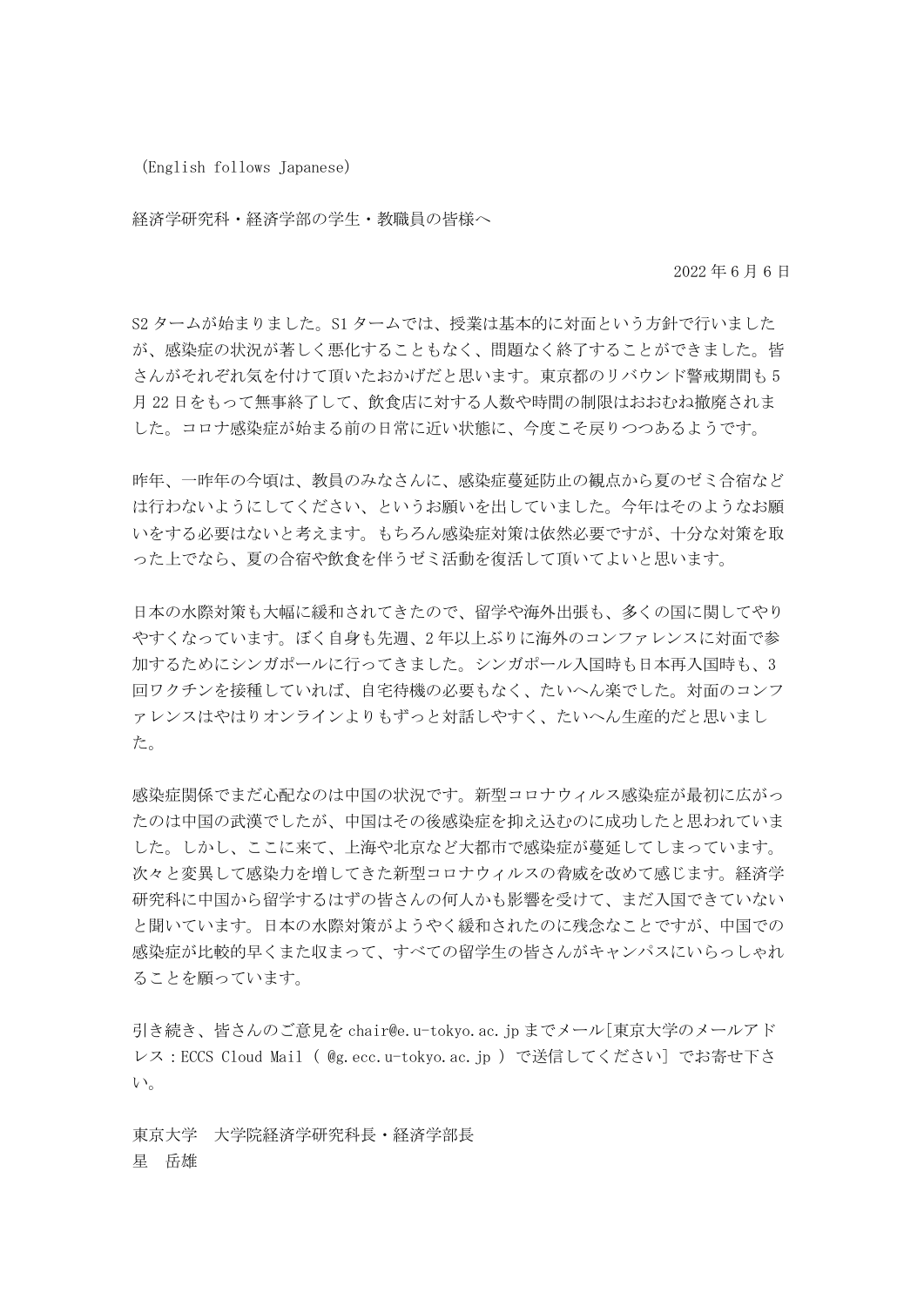(English follows Japanese)

経済学研究科・経済学部の学生・教職員の皆様へ

2022 年 6 月 6 日

S2 タームが始まりました。S1 タームでは、授業は基本的に対面という方針で行いました が、感染症の状況が著しく悪化することもなく、問題なく終了することができました。皆 さんがそれぞれ気を付けて頂いたおかげだと思います。東京都のリバウンド警戒期間も 5 月 22 日をもって無事終了して、飲食店に対する人数や時間の制限はおおむね撤廃されま した。コロナ感染症が始まる前の日常に近い状態に、今度こそ戻りつつあるようです。

昨年、一昨年の今頃は、教員のみなさんに、感染症蔓延防止の観点から夏のゼミ合宿など は行わないようにしてください、というお願いを出していました。今年はそのようなお願 いをする必要はないと考えます。もちろん感染症対策は依然必要ですが、十分な対策を取 った上でなら、夏の合宿や飲食を伴うゼミ活動を復活して頂いてよいと思います。

日本の水際対策も大幅に緩和されてきたので、留学や海外出張も、多くの国に関してやり やすくなっています。ぼく自身も先週、2 年以上ぶりに海外のコンファレンスに対面で参 加するためにシンガポールに行ってきました。シンガポール入国時も日本再入国時も、3 回ワクチンを接種していれば、自宅待機の必要もなく、たいへん楽でした。対面のコンフ ァレンスはやはりオンラインよりもずっと対話しやすく、たいへん生産的だと思いまし た。

感染症関係でまだ心配なのは中国の状況です。新型コロナウィルス感染症が最初に広がっ たのは中国の武漢でしたが、中国はその後感染症を抑え込むのに成功したと思われていま した。しかし、ここに来て、上海や北京など大都市で感染症が蔓延してしまっています。 次々と変異して感染力を増してきた新型コロナウィルスの脅威を改めて感じます。経済学 研究科に中国から留学するはずの皆さんの何人かも影響を受けて、まだ入国できていない と聞いています。日本の水際対策がようやく緩和されたのに残念なことですが、中国での 感染症が比較的早くまた収まって、すべての留学生の皆さんがキャンパスにいらっしゃれ ることを願っています。

引き続き、皆さんのご意見を chair@e.u-tokyo.ac.jp までメール[東京大学のメールアド レス:ECCS Cloud Mail ( @g.ecc.u-tokyo.ac.jp )で送信してください] でお寄せ下さ い。

東京大学 大学院経済学研究科長・経済学部長 星 岳雄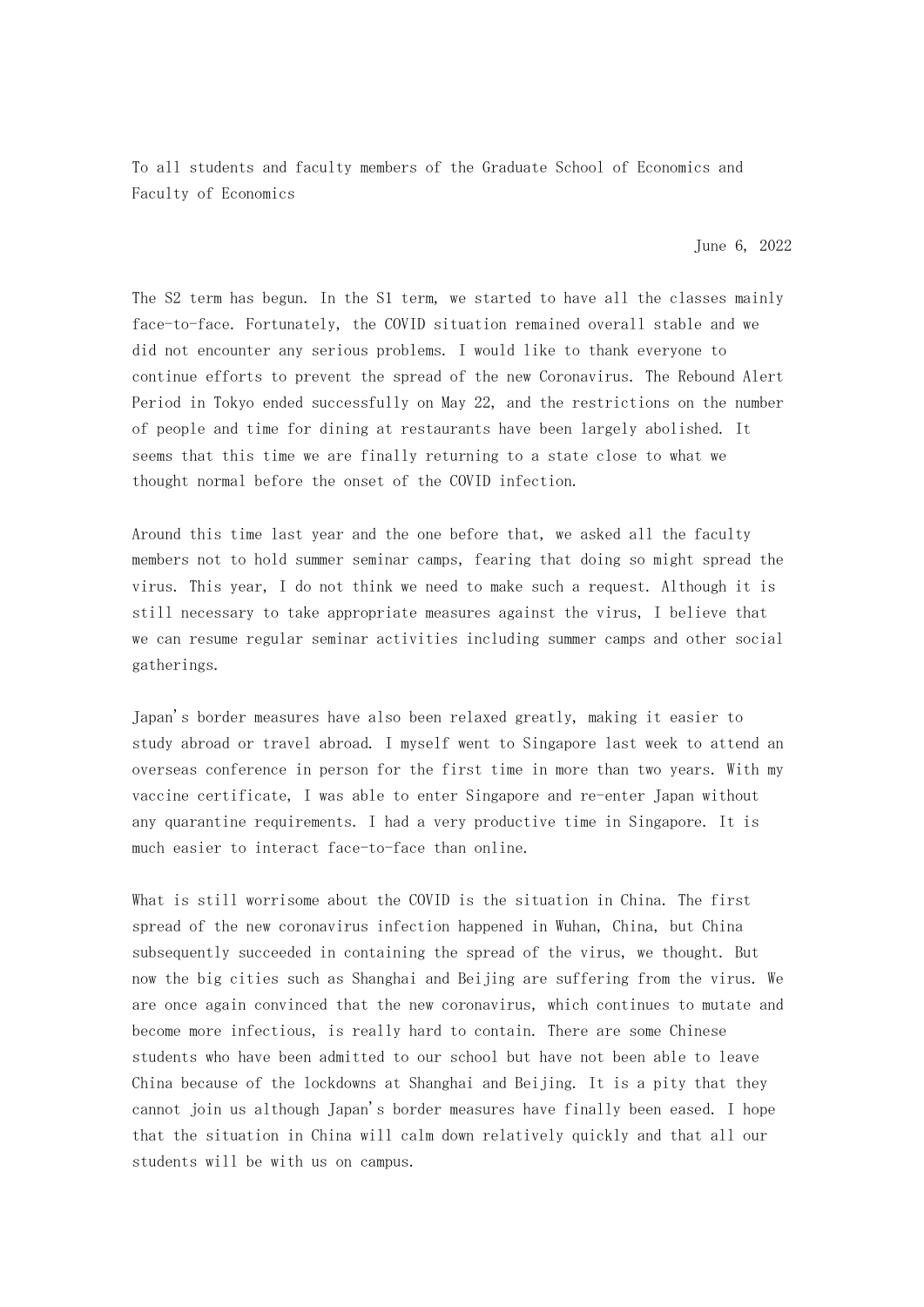To all students and faculty members of the Graduate School of Economics and Faculty of Economics

June 6, 2022

The S2 term has begun. In the S1 term, we started to have all the classes mainly face-to-face. Fortunately, the COVID situation remained overall stable and we did not encounter any serious problems. I would like to thank everyone to continue efforts to prevent the spread of the new Coronavirus. The Rebound Alert Period in Tokyo ended successfully on May 22, and the restrictions on the number of people and time for dining at restaurants have been largely abolished. It seems that this time we are finally returning to a state close to what we thought normal before the onset of the COVID infection.

Around this time last year and the one before that, we asked all the faculty members not to hold summer seminar camps, fearing that doing so might spread the virus. This year, I do not think we need to make such a request. Although it is still necessary to take appropriate measures against the virus, I believe that we can resume regular seminar activities including summer camps and other social gatherings.

Japan's border measures have also been relaxed greatly, making it easier to study abroad or travel abroad. I myself went to Singapore last week to attend an overseas conference in person for the first time in more than two years. With my vaccine certificate, I was able to enter Singapore and re-enter Japan without any quarantine requirements. I had a very productive time in Singapore. It is much easier to interact face-to-face than online.

What is still worrisome about the COVID is the situation in China. The first spread of the new coronavirus infection happened in Wuhan, China, but China subsequently succeeded in containing the spread of the virus, we thought. But now the big cities such as Shanghai and Beijing are suffering from the virus. We are once again convinced that the new coronavirus, which continues to mutate and become more infectious, is really hard to contain. There are some Chinese students who have been admitted to our school but have not been able to leave China because of the lockdowns at Shanghai and Beijing. It is a pity that they cannot join us although Japan's border measures have finally been eased. I hope that the situation in China will calm down relatively quickly and that all our students will be with us on campus.